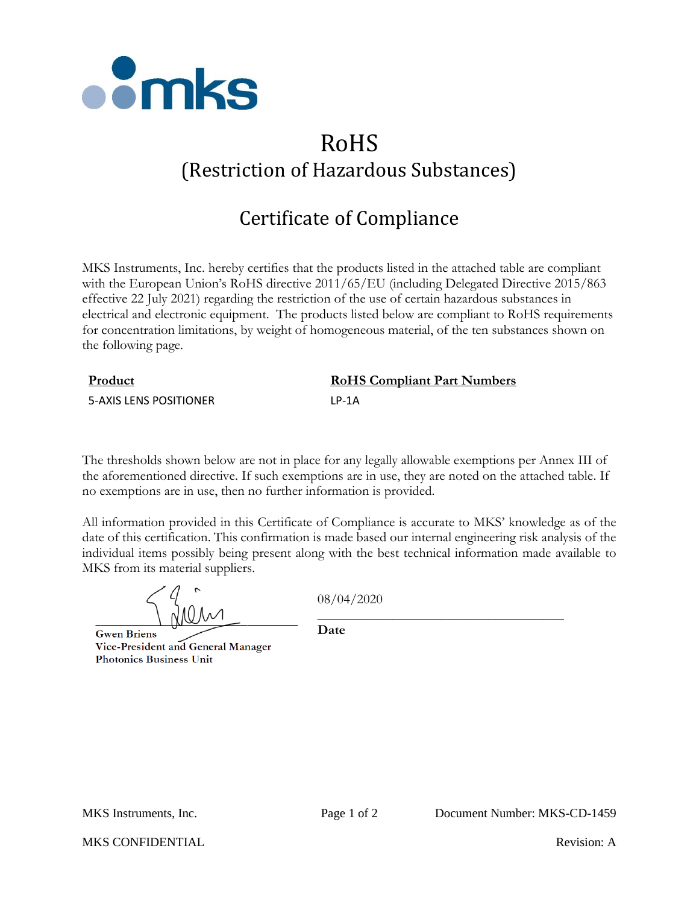

## RoHS (Restriction of Hazardous Substances)

## Certificate of Compliance

MKS Instruments, Inc. hereby certifies that the products listed in the attached table are compliant with the European Union's RoHS directive 2011/65/EU (including Delegated Directive 2015/863 effective 22 July 2021) regarding the restriction of the use of certain hazardous substances in electrical and electronic equipment. The products listed below are compliant to RoHS requirements for concentration limitations, by weight of homogeneous material, of the ten substances shown on the following page.

| Product                | <b>RoHS Compliant Part Numbers</b> |
|------------------------|------------------------------------|
| 5-AXIS LENS POSITIONER | 1 P-1 A                            |

The thresholds shown below are not in place for any legally allowable exemptions per Annex III of the aforementioned directive. If such exemptions are in use, they are noted on the attached table. If no exemptions are in use, then no further information is provided.

All information provided in this Certificate of Compliance is accurate to MKS' knowledge as of the date of this certification. This confirmation is made based our internal engineering risk analysis of the individual items possibly being present along with the best technical information made available to MKS from its material suppliers.

**Gwen Briens** Vice-President and General Manager **Photonics Business Unit** 

08/04/2020

\_\_\_\_\_\_\_\_\_\_\_\_\_\_\_\_\_\_\_\_\_\_\_\_\_\_\_\_\_\_\_\_\_\_\_\_

**Date**